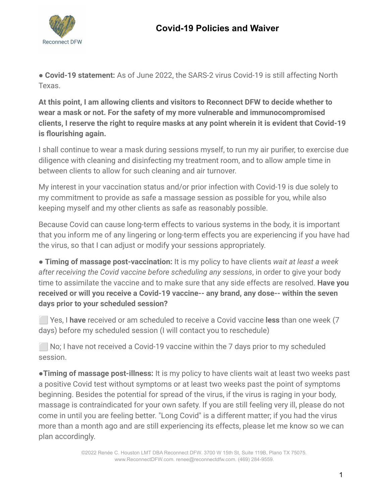

● **Covid-19 statement:** As of June 2022, the SARS-2 virus Covid-19 is still affecting North Texas.

**At this point, I am allowing clients and visitors to Reconnect DFW to decide whether to wear a mask or not. For the safety of my more vulnerable and immunocompromised clients, I reserve the right to require masks at any point wherein it is evident that Covid-19 is flourishing again.**

I shall continue to wear a mask during sessions myself, to run my air purifier, to exercise due diligence with cleaning and disinfecting my treatment room, and to allow ample time in between clients to allow for such cleaning and air turnover.

My interest in your vaccination status and/or prior infection with Covid-19 is due solely to my commitment to provide as safe a massage session as possible for you, while also keeping myself and my other clients as safe as reasonably possible.

Because Covid can cause long-term effects to various systems in the body, it is important that you inform me of any lingering or long-term effects you are experiencing if you have had the virus, so that I can adjust or modify your sessions appropriately.

● **Timing of massage post-vaccination:** It is my policy to have clients *wait at least a week after receiving the Covid vaccine before scheduling any sessions*, in order to give your body time to assimilate the vaccine and to make sure that any side effects are resolved. **Have you received or will you receive a Covid-19 vaccine-- any brand, any dose-- within the seven days prior to your scheduled session?**

⬜ Yes, I **have** received or am scheduled to receive a Covid vaccine **less** than one week (7 days) before my scheduled session (I will contact you to reschedule)

 $\blacksquare$  No; I have not received a Covid-19 vaccine within the 7 days prior to my scheduled session.

●**Timing of massage post-illness:** It is my policy to have clients wait at least two weeks past a positive Covid test without symptoms or at least two weeks past the point of symptoms beginning. Besides the potential for spread of the virus, if the virus is raging in your body, massage is contraindicated for your own safety. If you are still feeling very ill, please do not come in until you are feeling better. "Long Covid" is a different matter; if you had the virus more than a month ago and are still experiencing its effects, please let me know so we can plan accordingly.

> ©2022 Renée C. Houston LMT DBA Reconnect DFW. 3700 W 15th St, Suite 119B, Plano TX 75075. www.ReconnectDFW.com. renee@reconnectdfw.com. (469) 284-9559.